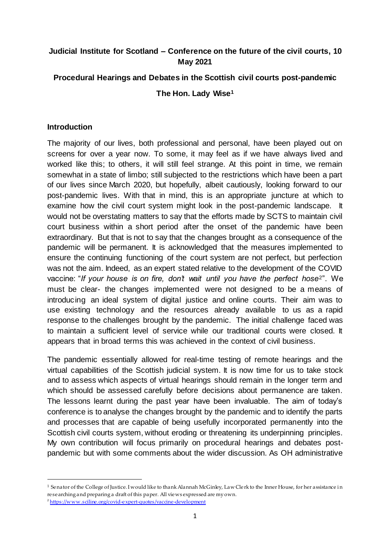# **Judicial Institute for Scotland – Conference on the future of the civil courts, 10 May 2021**

# **Procedural Hearings and Debates in the Scottish civil courts post-pandemic**

**The Hon. Lady Wise<sup>1</sup>**

### **Introduction**

The majority of our lives, both professional and personal, have been played out on screens for over a year now. To some, it may feel as if we have always lived and worked like this; to others, it will still feel strange. At this point in time, we remain somewhat in a state of limbo; still subjected to the restrictions which have been a part of our lives since March 2020, but hopefully, albeit cautiously, looking forward to our post-pandemic lives. With that in mind, this is an appropriate juncture at which to examine how the civil court system might look in the post-pandemic landscape. It would not be overstating matters to say that the efforts made by SCTS to maintain civil court business within a short period after the onset of the pandemic have been extraordinary. But that is not to say that the changes brought as a consequence of the pandemic will be permanent. It is acknowledged that the measures implemented to ensure the continuing functioning of the court system are not perfect, but perfection was not the aim. Indeed, as an expert stated relative to the development of the COVID vaccine: "*If your house is on fire, don't wait until you have the perfect hose*<sup>2"</sup>. We must be clear- the changes implemented were not designed to be a means of introducing an ideal system of digital justice and online courts. Their aim was to use existing technology and the resources already available to us as a rapid response to the challenges brought by the pandemic. The initial challenge faced was to maintain a sufficient level of service while our traditional courts were closed. It appears that in broad terms this was achieved in the context of civil business.

The pandemic essentially allowed for real-time testing of remote hearings and the virtual capabilities of the Scottish judicial system. It is now time for us to take stock and to assess which aspects of virtual hearings should remain in the longer term and which should be assessed carefully before decisions about permanence are taken. The lessons learnt during the past year have been invaluable. The aim of today's conference is to analyse the changes brought by the pandemic and to identify the parts and processes that are capable of being usefully incorporated permanently into the Scottish civil courts system, without eroding or threatening its underpinning principles. My own contribution will focus primarily on procedural hearings and debates postpandemic but with some comments about the wider discussion. As OH administrative

 $1$  Senator of the College of Justice. I would like to thank Alannah McGinley, Law Clerk to the Inner House, for her assistance in researching and preparing a draft of this paper. All views expressed are my own.

<sup>&</sup>lt;sup>2</sup> <https://www.sciline.org/covid-expert-quotes/vaccine-development>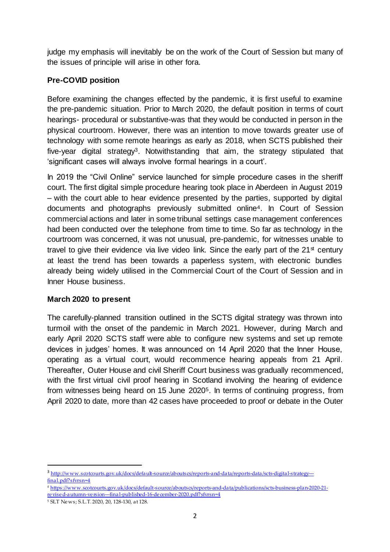judge my emphasis will inevitably be on the work of the Court of Session but many of the issues of principle will arise in other fora.

# **Pre-COVID position**

Before examining the changes effected by the pandemic, it is first useful to examine the pre-pandemic situation. Prior to March 2020, the default position in terms of court hearings- procedural or substantive-was that they would be conducted in person in the physical courtroom. However, there was an intention to move towards greater use of technology with some remote hearings as early as 2018, when SCTS published their five-year digital strategy<sup>3</sup>. Notwithstanding that aim, the strategy stipulated that 'significant cases will always involve formal hearings in a court'.

In 2019 the "Civil Online" service launched for simple procedure cases in the sheriff court. The first digital simple procedure hearing took place in Aberdeen in August 2019 – with the court able to hear evidence presented by the parties, supported by digital documents and photographs previously submitted online4. In Court of Session commercial actions and later in some tribunal settings case management conferences had been conducted over the telephone from time to time. So far as technology in the courtroom was concerned, it was not unusual, pre-pandemic, for witnesses unable to travel to give their evidence via live video link. Since the early part of the  $21<sup>st</sup>$  century at least the trend has been towards a paperless system, with electronic bundles already being widely utilised in the Commercial Court of the Court of Session and in Inner House business.

# **March 2020 to present**

The carefully-planned transition outlined in the SCTS digital strategy was thrown into turmoil with the onset of the pandemic in March 2021. However, during March and early April 2020 SCTS staff were able to configure new systems and set up remote devices in judges' homes. It was announced on 14 April 2020 that the Inner House, operating as a virtual court, would recommence hearing appeals from 21 April. Thereafter, Outer House and civil Sheriff Court business was gradually recommenced, with the first virtual civil proof hearing in Scotland involving the hearing of evidence from witnesses being heard on 15 June 20205. In terms of continuing progress, from April 2020 to date, more than 42 cases have proceeded to proof or debate in the Outer

<sup>3</sup> [http://www.scotcourts.gov.uk/docs/default-source/aboutscs/reports-and-data/reports-data/scts-digital-strategy--](http://www.scotcourts.gov.uk/docs/default-source/aboutscs/reports-and-data/reports-data/scts-digital-strategy---final.pdf?sfvrsn=4) [final.pdf?sfvrsn=4](http://www.scotcourts.gov.uk/docs/default-source/aboutscs/reports-and-data/reports-data/scts-digital-strategy---final.pdf?sfvrsn=4)

<sup>4</sup> [https://www.scotcourts.gov.uk/docs/default-source/aboutscs/reports-and-data/publications/scts-business-plan-2020-21](https://www.scotcourts.gov.uk/docs/default-source/aboutscs/reports-and-data/publications/scts-business-plan-2020-21-revised-autumn-version---final-published-16-december-2020.pdf?sfvrsn=4) [revised-autumn-version---final-published-16-december-2020.pdf?sfvrsn=4](https://www.scotcourts.gov.uk/docs/default-source/aboutscs/reports-and-data/publications/scts-business-plan-2020-21-revised-autumn-version---final-published-16-december-2020.pdf?sfvrsn=4)

<sup>5</sup> SLT News; S.L.T. 2020, 20, 128-130, at 128.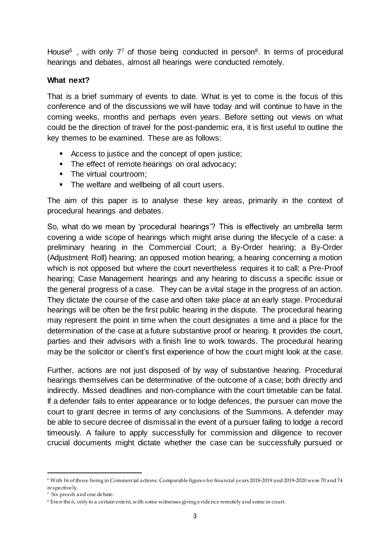House<sup>6</sup>, with only 7<sup>7</sup> of those being conducted in person<sup>8</sup>. In terms of procedural hearings and debates, almost all hearings were conducted remotely.

## **What next?**

That is a brief summary of events to date. What is yet to come is the focus of this conference and of the discussions we will have today and will continue to have in the coming weeks, months and perhaps even years. Before setting out views on what could be the direction of travel for the post-pandemic era, it is first useful to outline the key themes to be examined. These are as follows:

- Access to justice and the concept of open justice;
- The effect of remote hearings on oral advocacy;
- The virtual courtroom;
- The welfare and wellbeing of all court users.

The aim of this paper is to analyse these key areas, primarily in the context of procedural hearings and debates.

So, what do we mean by 'procedural hearings'? This is effectively an umbrella term covering a wide scope of hearings which might arise during the lifecycle of a case: a preliminary hearing in the Commercial Court; a By-Order hearing; a By-Order (Adjustment Roll) hearing; an opposed motion hearing; a hearing concerning a motion which is not opposed but where the court nevertheless requires it to call; a Pre-Proof hearing; Case Management hearings and any hearing to discuss a specific issue or the general progress of a case. They can be a vital stage in the progress of an action. They dictate the course of the case and often take place at an early stage. Procedural hearings will be often be the first public hearing in the dispute. The procedural hearing may represent the point in time when the court designates a time and a place for the determination of the case at a future substantive proof or hearing. It provides the court, parties and their advisors with a finish line to work towards. The procedural hearing may be the solicitor or client's first experience of how the court might look at the case.

Further, actions are not just disposed of by way of substantive hearing. Procedural hearings themselves can be determinative of the outcome of a case; both directly and indirectly. Missed deadlines and non-compliance with the court timetable can be fatal. If a defender fails to enter appearance or to lodge defences, the pursuer can move the court to grant decree in terms of any conclusions of the Summons. A defender may be able to secure decree of dismissal in the event of a pursuer failing to lodge a record timeously. A failure to apply successfully for commission and diligence to recover crucial documents might dictate whether the case can be successfully pursued or

<sup>6</sup> With 16 of those being in Commercial actions. Comparable figures for financial years 2018-2019 and 2019-2020 were 70 and 74 respectively.

<sup>7</sup> Six proofs and one debate.

<sup>8</sup> Even then, only to a certain extent, with some witnesses giving evidence remotely and some in court.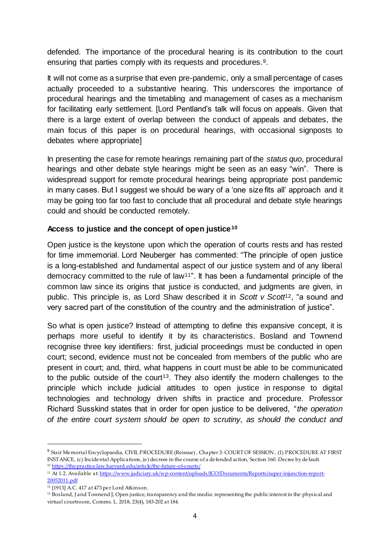defended. The importance of the procedural hearing is its contribution to the court ensuring that parties comply with its requests and procedures.9.

It will not come as a surprise that even pre-pandemic, only a small percentage of cases actually proceeded to a substantive hearing. This underscores the importance of procedural hearings and the timetabling and management of cases as a mechanism for facilitating early settlement. [Lord Pentland's talk will focus on appeals. Given that there is a large extent of overlap between the conduct of appeals and debates, the main focus of this paper is on procedural hearings, with occasional signposts to debates where appropriate]

In presenting the case for remote hearings remaining part of the *status quo*, procedural hearings and other debate style hearings might be seen as an easy "win". There is widespread support for remote procedural hearings being appropriate post pandemic in many cases. But I suggest we should be wary of a 'one size fits all' approach and it may be going too far too fast to conclude that all procedural and debate style hearings could and should be conducted remotely.

# **Access to justice and the concept of open justice<sup>10</sup>**

Open justice is the keystone upon which the operation of courts rests and has rested for time immemorial. Lord Neuberger has commented: "The principle of open justice is a long-established and fundamental aspect of our justice system and of any liberal democracy committed to the rule of law11". It has been a fundamental principle of the common law since its origins that justice is conducted, and judgments are given, in public. This principle is, as Lord Shaw described it in *Scott v Scott*12, "a sound and very sacred part of the constitution of the country and the administration of justice".

So what is open justice? Instead of attempting to define this expansive concept, it is perhaps more useful to identify it by its characteristics. Bosland and Townend recognise three key identifiers: first, judicial proceedings must be conducted in open court; second, evidence must not be concealed from members of the public who are present in court; and, third, what happens in court must be able to be communicated to the public outside of the court<sup>13</sup>. They also identify the modern challenges to the principle which include judicial attitudes to open justice in response to digital technologies and technology driven shifts in practice and procedure. Professor Richard Susskind states that in order for open justice to be delivered, "*the operation of the entire court system should be open to scrutiny, as should the conduct and* 

<sup>&</sup>lt;sup>9</sup> Stair Memorial Encyclopaedia, CIVIL PROCEDURE (Reissue) , Chapter 3: COURT OF SESSION , (1) PROCEDURE AT FIRST INSTANCE, (c) Incidental Applications, (e) decrees in the course of a defended action, Section 160. Decree by default.

<sup>10</sup> [https://thepractice.law.harvard.edu/article/the-future](https://thepractice.law.harvard.edu/article/the-future-of-courts/) -of-courts/

<sup>11</sup> At 1.2. Available a[t: https://www.judiciary.uk/wp-content/uploads/JCO/Documents/Reports/super-injunction-report-](https://www.judiciary.uk/wp-content/uploads/JCO/Documents/Reports/super-injunction-report-20052011.pdf)[20052011.pdf](https://www.judiciary.uk/wp-content/uploads/JCO/Documents/Reports/super-injunction-report-20052011.pdf)

<sup>12</sup> [1913] A.C. 417 at 473 per Lord Atkinson.

<sup>&</sup>lt;sup>13</sup> Bosland, J and Townend J, Open justice, transparency and the media: representing the public interest in the physical and virtual courtroom, Comms. L. 2018, 23(4), 183-202 at 184.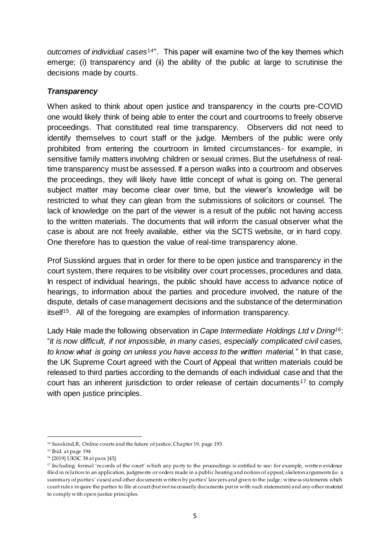*outcomes of individual cases*14". This paper will examine two of the key themes which emerge; (i) transparency and (ii) the ability of the public at large to scrutinise the decisions made by courts.

# *Transparency*

When asked to think about open justice and transparency in the courts pre-COVID one would likely think of being able to enter the court and courtrooms to freely observe proceedings. That constituted real time transparency. Observers did not need to identify themselves to court staff or the judge. Members of the public were only prohibited from entering the courtroom in limited circumstances- for example, in sensitive family matters involving children or sexual crimes. But the usefulness of realtime transparency must be assessed. If a person walks into a courtroom and observes the proceedings, they will likely have little concept of what is going on. The general subject matter may become clear over time, but the viewer's knowledge will be restricted to what they can glean from the submissions of solicitors or counsel. The lack of knowledge on the part of the viewer is a result of the public not having access to the written materials. The documents that will inform the casual observer what the case is about are not freely available, either via the SCTS website, or in hard copy. One therefore has to question the value of real-time transparency alone.

Prof Susskind argues that in order for there to be open justice and transparency in the court system, there requires to be visibility over court processes, procedures and data. In respect of individual hearings, the public should have access to advance notice of hearings, to information about the parties and procedure involved, the nature of the dispute, details of case management decisions and the substance of the determination itself15. All of the foregoing are examples of information transparency.

Lady Hale made the following observation in *Cape Intermediate Holdings Ltd v Dring16*: "*it is now difficult, if not impossible, in many cases, especially complicated civil cases, to know what is going on unless you have access to the written material."* In that case, the UK Supreme Court agreed with the Court of Appeal that written materials could be released to third parties according to the demands of each individual case and that the court has an inherent jurisdiction to order release of certain documents <sup>17</sup> to comply with open justice principles.

 $\overline{a}$ <sup>14</sup> Susskind,R, Online courts and the future of justice, Chapter 19, page 193.

<sup>15</sup> Ibid. at page 194

<sup>16</sup> [2019] UKSC 38 at para [43]

<sup>&</sup>lt;sup>17</sup> Including: formal 'records of the court' which any party to the proceedings is entitled to see: for example, written evidence filed in relation to an application, judgments or orders made in a public hearing and notices of appeal; skeleton arguments (i.e. a summary of parties' cases) and other documents written by parties' lawyers and given to the judge; witness statements which court rules require the parties to file at court (but not necessarily documents put in with such statements) and any other material to comply with open justice principles.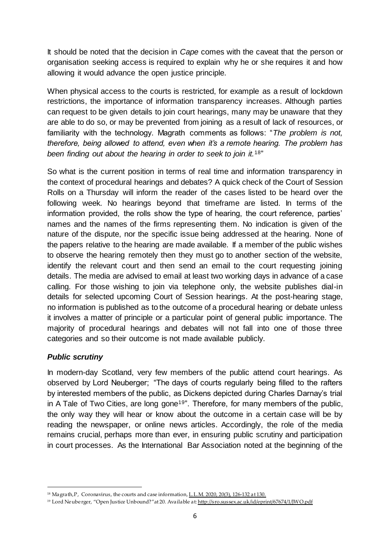It should be noted that the decision in *Cape* comes with the caveat that the person or organisation seeking access is required to explain why he or she requires it and how allowing it would advance the open justice principle.

When physical access to the courts is restricted, for example as a result of lockdown restrictions, the importance of information transparency increases. Although parties can request to be given details to join court hearings, many may be unaware that they are able to do so, or may be prevented from joining as a result of lack of resources, or familiarity with the technology. Magrath comments as follows: "*The problem is not, therefore, being allowed to attend, even when it's a remote hearing. The problem has been finding out about the hearing in order to seek to join it.*18"

So what is the current position in terms of real time and information transparency in the context of procedural hearings and debates? A quick check of the Court of Session Rolls on a Thursday will inform the reader of the cases listed to be heard over the following week. No hearings beyond that timeframe are listed. In terms of the information provided, the rolls show the type of hearing, the court reference, parties' names and the names of the firms representing them. No indication is given of the nature of the dispute, nor the specific issue being addressed at the hearing. None of the papers relative to the hearing are made available. If a member of the public wishes to observe the hearing remotely then they must go to another section of the website, identify the relevant court and then send an email to the court requesting joining details. The media are advised to email at least two working days in advance of a case calling. For those wishing to join via telephone only, the website publishes dial-in details for selected upcoming Court of Session hearings. At the post-hearing stage, no information is published as to the outcome of a procedural hearing or debate unless it involves a matter of principle or a particular point of general public importance. The majority of procedural hearings and debates will not fall into one of those three categories and so their outcome is not made available publicly.

# *Public scrutiny*

In modern-day Scotland, very few members of the public attend court hearings. As observed by Lord Neuberger; "The days of courts regularly being filled to the rafters by interested members of the public, as Dickens depicted during Charles Darnay's trial in A Tale of Two Cities, are long gone<sup>19"</sup>. Therefore, for many members of the public, the only way they will hear or know about the outcome in a certain case will be by reading the newspaper, or online news articles. Accordingly, the role of the media remains crucial, perhaps more than ever, in ensuring public scrutiny and participation in court processes. As the International Bar Association noted at the beginning of the

 $\overline{a}$ <sup>18</sup> Magrath, P, Coronavirus, the courts and case informatio[n, L.L.M.](https://uk.westlaw.com/Document/I6B6E3F50560311EBA675900ECA7D9613/View/FullText.html?originationContext=document&transitionType=DocumentItem&contextData=%28sc.Search%29&comp=wluk) 2020, 20(3), 126-132 at 130.

<sup>19</sup> Lord Neuberger, "Open Justice Unbound?"at 20. Available a[t: http://sro.sussex.ac.uk/id/eprint/67674/1/JWO.pdf](http://sro.sussex.ac.uk/id/eprint/67674/1/JWO.pdf)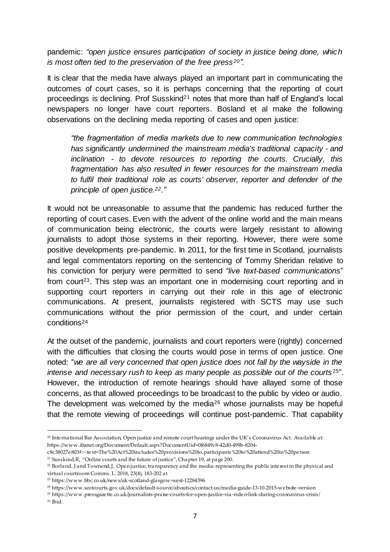pandemic: *"open justice ensures participation of society in justice being done, which is most often tied to the preservation of the free press20".*

It is clear that the media have always played an important part in communicating the outcomes of court cases, so it is perhaps concerning that the reporting of court proceedings is declining. Prof Susskind<sup>21</sup> notes that more than half of England's local newspapers no longer have court reporters. Bosland et al make the following observations on the declining media reporting of cases and open justice:

*"the fragmentation of media markets due to new communication technologies has significantly undermined the mainstream media's traditional capacity - and inclination - to devote resources to reporting the courts. Crucially, this fragmentation has also resulted in fewer resources for the mainstream media to fulfil their traditional role as courts' observer, reporter and defender of the principle of open justice.22."*

It would not be unreasonable to assume that the pandemic has reduced further the reporting of court cases. Even with the advent of the online world and the main means of communication being electronic, the courts were largely resistant to allowing journalists to adopt those systems in their reporting. However, there were some positive developments pre-pandemic. In 2011, for the first time in Scotland, journalists and legal commentators reporting on the sentencing of Tommy Sheridan relative to his conviction for perjury were permitted to send *"live text-based communications*" from court<sup>23</sup>. This step was an important one in modernising court reporting and in supporting court reporters in carrying out their role in this age of electronic communications. At present, journalists registered with SCTS may use such communications without the prior permission of the court, and under certain conditions<sup>24</sup>

At the outset of the pandemic, journalists and court reporters were (rightly) concerned with the difficulties that closing the courts would pose in terms of open justice. One noted: "*we are all very concerned that open justice does not fall by the wayside in the intense and necessary rush to keep as many people as possible out of the courts* <sup>25</sup>". However, the introduction of remote hearings should have allayed some of those concerns, as that allowed proceedings to be broadcast to the public by video or audio. The development was welcomed by the media<sup>26</sup> whose journalists may be hopeful that the remote viewing of proceedings will continue post-pandemic. That capability

[c8c38027e803#:~:text=The%20Act%20includes%20provisions%20to,participants%20to%20attend%20in%20person](https://www.ibanet.org/Document/Default.aspx?DocumentUid=0f6849c8-42d0-499b-8204-c8c38027e803#:~:text=The%20Act%20includes%20provisions%20to,participants%20to%20attend%20in%20person) <sup>21</sup> Susskind,R, "Online courts and the future of justice", Chapter 19, at page 200.

 $\overline{a}$ <sup>20</sup> International Bar Association, Open justice and remote court hearings under the UK's Coronavirus Act. Available at: [https://www.ibanet.org/Document/Default.aspx?DocumentUid=0f6849c8-42d0-499b-8204-](https://www.ibanet.org/Document/Default.aspx?DocumentUid=0f6849c8-42d0-499b-8204-c8c38027e803#:~:text=The%20Act%20includes%20provisions%20to,participants%20to%20attend%20in%20person)

<sup>&</sup>lt;sup>22</sup> Borland. J and Townend,J, Open justice, transparency and the media: representing the public interest in the physical and virtual courtroom Comms. L. 2018, 23(4), 183-202 at

<sup>23</sup> <https://www.bbc.co.uk/news/uk-scotland-glasgow-west-12284396>

<sup>24</sup> https://www.scotcourts.gov.uk/docs/default-source/aboutscs/contact-us/media-guide-13-10-2015-website -version

<sup>25</sup> <https://www.pressgazette.co.uk/journalists-praise-courts-for-open-justice-via-video-link-during-coronavirus-crisis/>

<sup>26</sup> Ibid.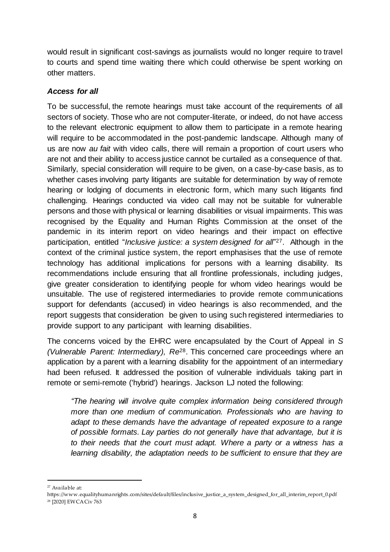would result in significant cost-savings as journalists would no longer require to travel to courts and spend time waiting there which could otherwise be spent working on other matters.

# *Access for all*

To be successful, the remote hearings must take account of the requirements of all sectors of society. Those who are not computer-literate, or indeed, do not have access to the relevant electronic equipment to allow them to participate in a remote hearing will require to be accommodated in the post-pandemic landscape. Although many of us are now *au fait* with video calls, there will remain a proportion of court users who are not and their ability to access justice cannot be curtailed as a consequence of that. Similarly, special consideration will require to be given, on a case-by-case basis, as to whether cases involving party litigants are suitable for determination by way of remote hearing or lodging of documents in electronic form, which many such litigants find challenging. Hearings conducted via video call may not be suitable for vulnerable persons and those with physical or learning disabilities or visual impairments. This was recognised by the Equality and Human Rights Commission at the onset of the pandemic in its interim report on video hearings and their impact on effective participation, entitled "*Inclusive justice: a system designed for all*" <sup>27</sup>. Although in the context of the criminal justice system, the report emphasises that the use of remote technology has additional implications for persons with a learning disability. Its recommendations include ensuring that all frontline professionals, including judges, give greater consideration to identifying people for whom video hearings would be unsuitable. The use of registered intermediaries to provide remote communications support for defendants (accused) in video hearings is also recommended, and the report suggests that consideration be given to using such registered intermediaries to provide support to any participant with learning disabilities.

The concerns voiced by the EHRC were encapsulated by the Court of Appeal in *S (Vulnerable Parent: Intermediary), Re*28. This concerned care proceedings where an application by a parent with a learning disability for the appointment of an intermediary had been refused. It addressed the position of vulnerable individuals taking part in remote or semi-remote ('hybrid') hearings. Jackson LJ noted the following:

*"The hearing will involve quite complex information being considered through more than one medium of communication. Professionals who are having to adapt to these demands have the advantage of repeated exposure to a range of possible formats. Lay parties do not generally have that advantage, but it is to their needs that the court must adapt. Where a party or a witness has a learning disability, the adaptation needs to be sufficient to ensure that they are* 

<sup>27</sup> Available at:

[https://www.equalityhumanrights.com/sites/default/files/inclusive\\_justice\\_a\\_system\\_designed\\_for\\_all\\_interim\\_report\\_0.pdf](https://www.equalityhumanrights.com/sites/default/files/inclusive_justice_a_system_designed_for_all_interim_report_0.pdf) <sup>28</sup> [2020] EWCA Civ 763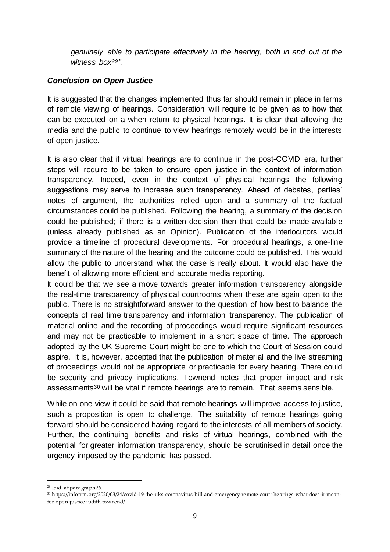*genuinely able to participate effectively in the hearing, both in and out of the witness box29".* 

# *Conclusion on Open Justice*

It is suggested that the changes implemented thus far should remain in place in terms of remote viewing of hearings. Consideration will require to be given as to how that can be executed on a when return to physical hearings. It is clear that allowing the media and the public to continue to view hearings remotely would be in the interests of open justice.

It is also clear that if virtual hearings are to continue in the post-COVID era, further steps will require to be taken to ensure open justice in the context of information transparency. Indeed, even in the context of physical hearings the following suggestions may serve to increase such transparency. Ahead of debates, parties' notes of argument, the authorities relied upon and a summary of the factual circumstances could be published. Following the hearing, a summary of the decision could be published; if there is a written decision then that could be made available (unless already published as an Opinion). Publication of the interlocutors would provide a timeline of procedural developments. For procedural hearings, a one-line summary of the nature of the hearing and the outcome could be published. This would allow the public to understand what the case is really about. It would also have the benefit of allowing more efficient and accurate media reporting.

It could be that we see a move towards greater information transparency alongside the real-time transparency of physical courtrooms when these are again open to the public. There is no straightforward answer to the question of how best to balance the concepts of real time transparency and information transparency. The publication of material online and the recording of proceedings would require significant resources and may not be practicable to implement in a short space of time. The approach adopted by the UK Supreme Court might be one to which the Court of Session could aspire. It is, however, accepted that the publication of material and the live streaming of proceedings would not be appropriate or practicable for every hearing. There could be security and privacy implications. Townend notes that proper impact and risk assessments<sup>30</sup> will be vital if remote hearings are to remain. That seems sensible.

While on one view it could be said that remote hearings will improve access to justice, such a proposition is open to challenge. The suitability of remote hearings going forward should be considered having regard to the interests of all members of society. Further, the continuing benefits and risks of virtual hearings, combined with the potential for greater information transparency, should be scrutinised in detail once the urgency imposed by the pandemic has passed.

 $\overline{a}$ <sup>29</sup> Ibid. at paragraph 26.

<sup>30</sup> https://inforrm.org/2020/03/24/covid-19-the [-uks-coronavirus-bill-and-emergency-remote-court-hearings-what-does-it-mean](https://inforrm.org/2020/03/24/covid-19-the-uks-coronavirus-bill-and-emergency-remote-court-hearings-what-does-it-mean-for-open-justice-judith-townend/)[for-open-justice-judith-townend/](https://inforrm.org/2020/03/24/covid-19-the-uks-coronavirus-bill-and-emergency-remote-court-hearings-what-does-it-mean-for-open-justice-judith-townend/)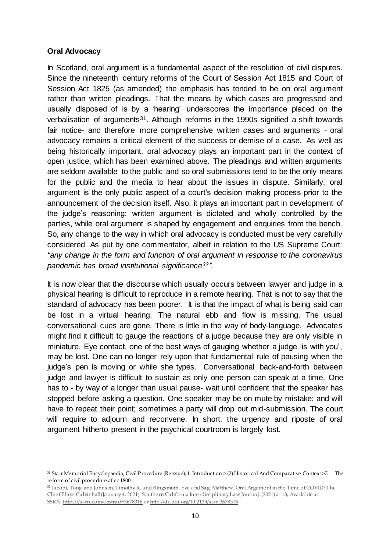### **Oral Advocacy**

1

In Scotland, oral argument is a fundamental aspect of the resolution of civil disputes. Since the nineteenth century reforms of the Court of Session Act 1815 and Court of Session Act 1825 (as amended) the emphasis has tended to be on oral argument rather than written pleadings. That the means by which cases are progressed and usually disposed of is by a 'hearing' underscores the importance placed on the verbalisation of arguments31. Although reforms in the 1990s signified a shift towards fair notice- and therefore more comprehensive written cases and arguments - oral advocacy remains a critical element of the success or demise of a case. As well as being historically important, oral advocacy plays an important part in the context of open justice, which has been examined above. The pleadings and written arguments are seldom available to the public and so oral submissions tend to be the only means for the public and the media to hear about the issues in dispute. Similarly, oral argument is the only public aspect of a court's decision making process prior to the announcement of the decision itself. Also, it plays an important part in development of the judge's reasoning: written argument is dictated and wholly controlled by the parties, while oral argument is shaped by engagement and enquiries from the bench. So, any change to the way in which oral advocacy is conducted must be very carefully considered. As put by one commentator, albeit in relation to the US Supreme Court: *"any change in the form and function of oral argument in response to the coronavirus pandemic has broad institutional significance32".*

It is now clear that the discourse which usually occurs between lawyer and judge in a physical hearing is difficult to reproduce in a remote hearing. That is not to say that the standard of advocacy has been poorer. It is that the impact of what is being said can be lost in a virtual hearing. The natural ebb and flow is missing. The usual conversational cues are gone. There is little in the way of body-language. Advocates might find it difficult to gauge the reactions of a judge because they are only visible in miniature. Eye contact, one of the best ways of gauging whether a judge 'is with you', may be lost. One can no longer rely upon that fundamental rule of pausing when the judge's pen is moving or while she types. Conversational back-and-forth between judge and lawyer is difficult to sustain as only one person can speak at a time. One has to - by way of a longer than usual pause- wait until confident that the speaker has stopped before asking a question. One speaker may be on mute by mistake; and will have to repeat their point; sometimes a party will drop out mid-submission. The court will require to adjourn and reconvene. In short, the urgency and riposte of oral argument hitherto present in the psychical courtroom is largely lost.

<sup>31</sup> Stair Memorial Encyclopaedia, Civil Procedure (Reissue), 1. Introduction > (2) Historical And Comparative Context >7. The reform of civil procedure after 1800

<sup>32</sup> Jacobi, Tonja and Johnson, Timothy R. and Ringsmuth, Eve and Sag, Matthew, Oral Argument in the Time of COVID: The Chief Plays Calvinball (January 4, 2021). Southern California Interdisciplinary Law Journal, (2021) at 13, Available at SSRN: <https://ssrn.com/abstract=3678316> or [http://dx.doi.org/10.2139/ssrn.3678316](https://dx.doi.org/10.2139/ssrn.3678316)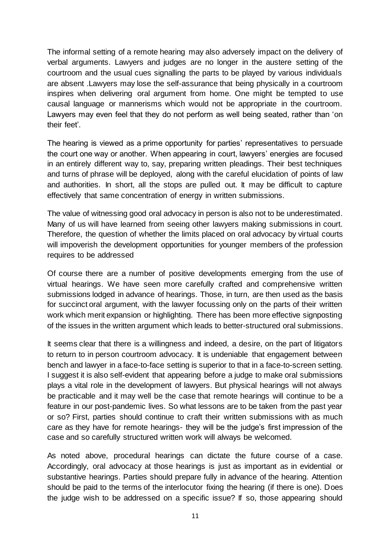The informal setting of a remote hearing may also adversely impact on the delivery of verbal arguments. Lawyers and judges are no longer in the austere setting of the courtroom and the usual cues signalling the parts to be played by various individuals are absent .Lawyers may lose the self-assurance that being physically in a courtroom inspires when delivering oral argument from home. One might be tempted to use causal language or mannerisms which would not be appropriate in the courtroom. Lawyers may even feel that they do not perform as well being seated, rather than 'on their feet'.

The hearing is viewed as a prime opportunity for parties' representatives to persuade the court one way or another. When appearing in court, lawyers' energies are focused in an entirely different way to, say, preparing written pleadings. Their best techniques and turns of phrase will be deployed, along with the careful elucidation of points of law and authorities. In short, all the stops are pulled out. It may be difficult to capture effectively that same concentration of energy in written submissions.

The value of witnessing good oral advocacy in person is also not to be underestimated. Many of us will have learned from seeing other lawyers making submissions in court. Therefore, the question of whether the limits placed on oral advocacy by virtual courts will impoverish the development opportunities for younger members of the profession requires to be addressed

Of course there are a number of positive developments emerging from the use of virtual hearings. We have seen more carefully crafted and comprehensive written submissions lodged in advance of hearings. Those, in turn, are then used as the basis for succinct oral argument, with the lawyer focussing only on the parts of their written work which merit expansion or highlighting. There has been more effective signposting of the issues in the written argument which leads to better-structured oral submissions.

It seems clear that there is a willingness and indeed, a desire, on the part of litigators to return to in person courtroom advocacy. It is undeniable that engagement between bench and lawyer in a face-to-face setting is superior to that in a face-to-screen setting. I suggest it is also self-evident that appearing before a judge to make oral submissions plays a vital role in the development of lawyers. But physical hearings will not always be practicable and it may well be the case that remote hearings will continue to be a feature in our post-pandemic lives. So what lessons are to be taken from the past year or so? First, parties should continue to craft their written submissions with as much care as they have for remote hearings- they will be the judge's first impression of the case and so carefully structured written work will always be welcomed.

As noted above, procedural hearings can dictate the future course of a case. Accordingly, oral advocacy at those hearings is just as important as in evidential or substantive hearings. Parties should prepare fully in advance of the hearing. Attention should be paid to the terms of the interlocutor fixing the hearing (if there is one). Does the judge wish to be addressed on a specific issue? If so, those appearing should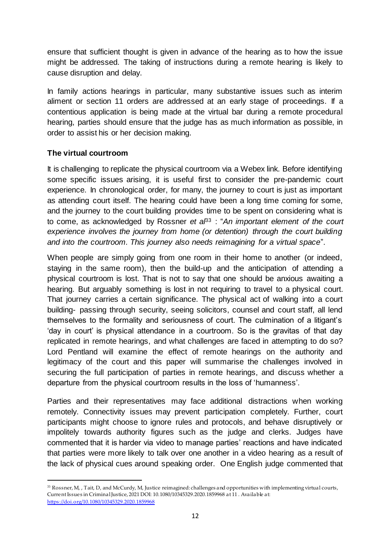ensure that sufficient thought is given in advance of the hearing as to how the issue might be addressed. The taking of instructions during a remote hearing is likely to cause disruption and delay.

In family actions hearings in particular, many substantive issues such as interim aliment or section 11 orders are addressed at an early stage of proceedings. If a contentious application is being made at the virtual bar during a remote procedural hearing, parties should ensure that the judge has as much information as possible, in order to assist his or her decision making.

# **The virtual courtroom**

It is challenging to replicate the physical courtroom via a Webex link. Before identifying some specific issues arising, it is useful first to consider the pre-pandemic court experience. In chronological order, for many, the journey to court is just as important as attending court itself. The hearing could have been a long time coming for some, and the journey to the court building provides time to be spent on considering what is to come, as acknowledged by Rossner *et a<sup>p3</sup>* : "An important element of the court *experience involves the journey from home (or detention) through the court building and into the courtroom. This journey also needs reimagining for a virtual space*".

When people are simply going from one room in their home to another (or indeed, staying in the same room), then the build-up and the anticipation of attending a physical courtroom is lost. That is not to say that one should be anxious awaiting a hearing. But arguably something is lost in not requiring to travel to a physical court. That journey carries a certain significance. The physical act of walking into a court building- passing through security, seeing solicitors, counsel and court staff, all lend themselves to the formality and seriousness of court. The culmination of a litigant's 'day in court' is physical attendance in a courtroom. So is the gravitas of that day replicated in remote hearings, and what challenges are faced in attempting to do so? Lord Pentland will examine the effect of remote hearings on the authority and legitimacy of the court and this paper will summarise the challenges involved in securing the full participation of parties in remote hearings, and discuss whether a departure from the physical courtroom results in the loss of 'humanness'.

Parties and their representatives may face additional distractions when working remotely. Connectivity issues may prevent participation completely. Further, court participants might choose to ignore rules and protocols, and behave disruptively or impolitely towards authority figures such as the judge and clerks. Judges have commented that it is harder via video to manage parties' reactions and have indicated that parties were more likely to talk over one another in a video hearing as a result of the lack of physical cues around speaking order. One English judge commented that

 $\overline{a}$ <sup>33</sup> Rossner, M, , Tait, D, and McCurdy, M, Justice reimagined: challenges and opportunities with implementing virtual courts, Current Issues in Criminal Justice, 2021 DOI: 10.1080/10345329.2020.1859968 at 11 . Available at: <https://doi.org/10.1080/10345329.2020.1859968>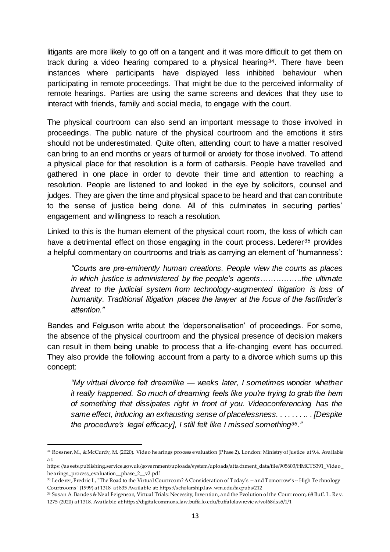litigants are more likely to go off on a tangent and it was more difficult to get them on track during a video hearing compared to a physical hearing34. There have been instances where participants have displayed less inhibited behaviour when participating in remote proceedings. That might be due to the perceived informality of remote hearings. Parties are using the same screens and devices that they use to interact with friends, family and social media, to engage with the court.

The physical courtroom can also send an important message to those involved in proceedings. The public nature of the physical courtroom and the emotions it stirs should not be underestimated. Quite often, attending court to have a matter resolved can bring to an end months or years of turmoil or anxiety for those involved. To attend a physical place for that resolution is a form of catharsis. People have travelled and gathered in one place in order to devote their time and attention to reaching a resolution. People are listened to and looked in the eye by solicitors, counsel and judges. They are given the time and physical space to be heard and that can contribute to the sense of justice being done. All of this culminates in securing parties' engagement and willingness to reach a resolution.

Linked to this is the human element of the physical court room, the loss of which can have a detrimental effect on those engaging in the court process. Lederer<sup>35</sup> provides a helpful commentary on courtrooms and trials as carrying an element of 'humanness':

*"Courts are pre-eminently human creations. People view the courts as places in which justice is administered by the people's agents…………….the ultimate threat to the judicial system from technology-augmented litigation is loss of humanity. Traditional litigation places the lawyer at the focus of the factfinder's attention."*

Bandes and Felguson write about the 'depersonalisation' of proceedings. For some, the absence of the physical courtroom and the physical presence of decision makers can result in them being unable to process that a life-changing event has occurred. They also provide the following account from a party to a divorce which sums up this concept:

*"My virtual divorce felt dreamlike — weeks later, I sometimes wonder whether it really happened. So much of dreaming feels like you're trying to grab the hem of something that dissipates right in front of you. Videoconferencing has the same effect, inducing an exhausting sense of placelessness. . . . . . . .. . [Despite the procedure's legal efficacy], I still felt like I missed something36."*

<sup>34</sup> Rossner, M., & McCurdy, M. (2020). Video hearings process evaluation (Phase 2). London: Ministry of Justice at 9.4. Available at:

https://assets.publishing.service.gov.uk/government/uploads/system/uploads/attachment\_data/file/905603/HMCTS391\_Video\_ hearings\_process\_evaluation\_\_phase\_2\_\_v2.pdf

<sup>&</sup>lt;sup>35</sup> Lederer, Fredric I., "The Road to the Virtual Courtroom? A Consideration of Today's -- and Tomorrow's -- High Technology Courtrooms" (1999) at 1318 at 835 Available at: https://scholarship.law.wm.edu/facpubs/212

<sup>36</sup> Susan A. Bandes & Neal Feigenson, Virtual Trials: Necessity, Invention, and the Evolution of the Courtroom, 68 Buff. L. Rev. 1275 (2020) at 1318. Available at:https://digitalcommons.law.buffalo.edu/buffalolawreview/vol68/iss5/1/1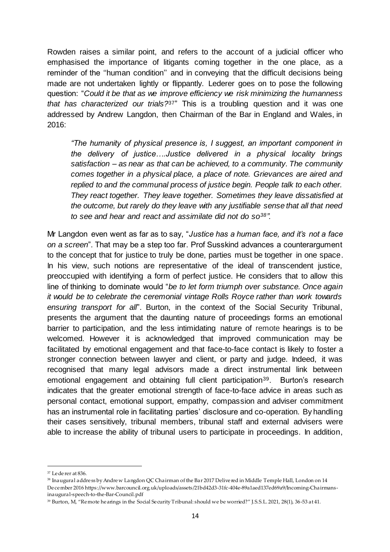Rowden raises a similar point, and refers to the account of a judicial officer who emphasised the importance of litigants coming together in the one place, as a reminder of the ''human condition'' and in conveying that the difficult decisions being made are not undertaken lightly or flippantly. Lederer goes on to pose the following question: "*Could it be that as we improve efficiency we risk minimizing the humanness that has characterized our trials?*37" This is a troubling question and it was one addressed by Andrew Langdon, then Chairman of the Bar in England and Wales, in 2016:

*"The humanity of physical presence is, I suggest, an important component in the delivery of justice….Justice delivered in a physical locality brings satisfaction – as near as that can be achieved, to a community. The community comes together in a physical place, a place of note. Grievances are aired and replied to and the communal process of justice begin. People talk to each other. They react together. They leave together. Sometimes they leave dissatisfied at the outcome, but rarely do they leave with any justifiable sense that all that need to see and hear and react and assimilate did not do so38".* 

Mr Langdon even went as far as to say, "*Justice has a human face, and it's not a face on a screen*". That may be a step too far. Prof Susskind advances a counterargument to the concept that for justice to truly be done, parties must be together in one space. In his view, such notions are representative of the ideal of transcendent justice, preoccupied with identifying a form of perfect justice. He considers that to allow this line of thinking to dominate would "*be to let form triumph over substance. Once again it would be to celebrate the ceremonial vintage Rolls Royce rather than work towards ensuring transport for all*". Burton, in the context of the Social Security Tribunal, presents the argument that the daunting nature of proceedings forms an emotional barrier to participation, and the less intimidating nature of remote hearings is to be welcomed. However it is acknowledged that improved communication may be facilitated by emotional engagement and that face-to-face contact is likely to foster a stronger connection between lawyer and client, or party and judge. Indeed, it was recognised that many legal advisors made a direct instrumental link between emotional engagement and obtaining full client participation39. Burton's research indicates that the greater emotional strength of face-to-face advice in areas such as personal contact, emotional support, empathy, compassion and adviser commitment has an instrumental role in facilitating parties' disclosure and co-operation. By handling their cases sensitively, tribunal members, tribunal staff and external advisers were able to increase the ability of tribunal users to participate in proceedings. In addition,

1

<sup>37</sup> Lederer at 836.

<sup>38</sup> Inaugural address by Andrew Langdon QC Chairman of the Bar 2017 Delivered in Middle Temple Hall, London on 14 December 2016 https://www.barcouncil.org.uk/uploads/assets/21bd42d3-31fc-404e-89a1aed137ed69a9/Incoming-Chairmansinaugural-speech-to-the-Bar-Council.pdf

<sup>39</sup> Burton, M, "Remote hearings in the Social Security Tribunal: should we be worried?" J.S.S.L. 2021, 28(1), 36-53 at 41.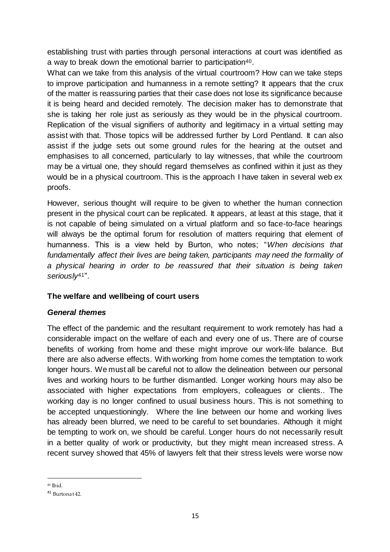establishing trust with parties through personal interactions at court was identified as a way to break down the emotional barrier to participation<sup>40</sup>.

What can we take from this analysis of the virtual courtroom? How can we take steps to improve participation and humanness in a remote setting? It appears that the crux of the matter is reassuring parties that their case does not lose its significance because it is being heard and decided remotely. The decision maker has to demonstrate that she is taking her role just as seriously as they would be in the physical courtroom. Replication of the visual signifiers of authority and legitimacy in a virtual setting may assist with that. Those topics will be addressed further by Lord Pentland. It can also assist if the judge sets out some ground rules for the hearing at the outset and emphasises to all concerned, particularly to lay witnesses, that while the courtroom may be a virtual one, they should regard themselves as confined within it just as they would be in a physical courtroom. This is the approach I have taken in several web ex proofs.

However, serious thought will require to be given to whether the human connection present in the physical court can be replicated. It appears, at least at this stage, that it is not capable of being simulated on a virtual platform and so face-to-face hearings will always be the optimal forum for resolution of matters requiring that element of humanness. This is a view held by Burton, who notes; "*When decisions that fundamentally affect their lives are being taken, participants may need the formality of a physical hearing in order to be reassured that their situation is being taken seriously*41".

# **The welfare and wellbeing of court users**

# *General themes*

The effect of the pandemic and the resultant requirement to work remotely has had a considerable impact on the welfare of each and every one of us. There are of course benefits of working from home and these might improve our work-life balance. But there are also adverse effects. With working from home comes the temptation to work longer hours. We must all be careful not to allow the delineation between our personal lives and working hours to be further dismantled. Longer working hours may also be associated with higher expectations from employers, colleagues or clients.. The working day is no longer confined to usual business hours. This is not something to be accepted unquestioningly. Where the line between our home and working lives has already been blurred, we need to be careful to set boundaries. Although it might be tempting to work on, we should be careful. Longer hours do not necessarily result in a better quality of work or productivity, but they might mean increased stress. A recent survey showed that 45% of lawyers felt that their stress levels were worse now

<sup>1</sup> <sup>40</sup> Ibid.

<sup>41</sup> Burtonat 42.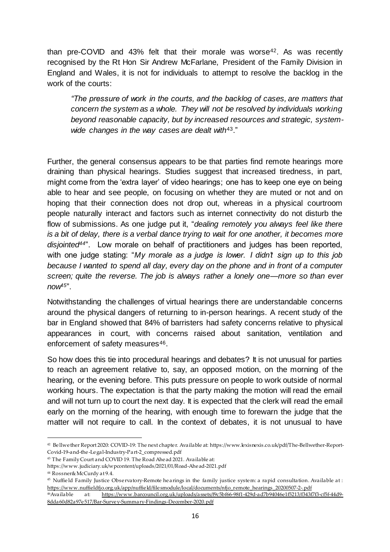than pre-COVID and 43% felt that their morale was worse<sup>42</sup>. As was recently recognised by the Rt Hon Sir Andrew McFarlane, President of the Family Division in England and Wales, it is not for individuals to attempt to resolve the backlog in the work of the courts:

*"The pressure of work in the courts, and the backlog of cases, are matters that concern the system as a whole. They will not be resolved by individuals working beyond reasonable capacity, but by increased resources and strategic, systemwide changes in the way cases are dealt with*43."

Further, the general consensus appears to be that parties find remote hearings more draining than physical hearings. Studies suggest that increased tiredness, in part, might come from the 'extra layer' of video hearings; one has to keep one eye on being able to hear and see people, on focusing on whether they are muted or not and on hoping that their connection does not drop out, whereas in a physical courtroom people naturally interact and factors such as internet connectivity do not disturb the flow of submissions. As one judge put it, "*dealing remotely you always feel like there is a bit of delay, there is a verbal dance trying to wait for one another, it becomes more disjointed44*". Low morale on behalf of practitioners and judges has been reported, with one judge stating: "*My morale as a judge is lower. I didn't sign up to this job because I wanted to spend all day, every day on the phone and in front of a computer screen; quite the reverse. The job is always rather a lonely one—more so than ever now45*".

Notwithstanding the challenges of virtual hearings there are understandable concerns around the physical dangers of returning to in-person hearings. A recent study of the bar in England showed that 84% of barristers had safety concerns relative to physical appearances in court, with concerns raised about sanitation, ventilation and enforcement of safety measures<sup>46</sup>.

So how does this tie into procedural hearings and debates? It is not unusual for parties to reach an agreement relative to, say, an opposed motion, on the morning of the hearing, or the evening before. This puts pressure on people to work outside of normal working hours. The expectation is that the party making the motion will read the email and will not turn up to court the next day. It is expected that the clerk will read the email early on the morning of the hearing, with enough time to forewarn the judge that the matter will not require to call. In the context of debates, it is not unusual to have

<sup>42</sup> Bellwether Report 2020: COVID-19: The next chapter. Available at: https://www.lexisnexis.co.uk/pdf/The-Bellwether-Report-Covid-19-and-the -Legal-Industry-Part-2\_compressed.pdf

<sup>43</sup> The Family Court and COVID 19. The Road Ahead 2021. Available at:

<https://www.judiciary.uk/wpcontent/uploads/2021/01/Road-Ahead-2021.pdf>

<sup>44</sup> Rossner& McCurdy at 9.4.

<sup>45</sup> Nuffield Family Justice Observatory-Remote hearings in the family justice system: a rapid consultation. Available at : [https://www.nuffieldfjo.org.uk/app/nuffield/filesmodule/local/documents/nfjo\\_remote\\_hearings\\_20200507-2-.pdf](https://www.nuffieldfjo.org.uk/app/nuffield/filesmodule/local/documents/nfjo_remote_hearings_20200507-2-.pdf)

<sup>46</sup>Available at: [https://www.barcouncil.org.uk/uploads/assets/f9c5bf66-98f1-429d-ad7b94046e1f5213/f343f7f3-cf5f-44d9-](https://www.barcouncil.org.uk/uploads/assets/f9c5bf66-98f1-429d-ad7b94046e1f5213/f343f7f3-cf5f-44d9-8dda60d82a97e517/Bar-Survey-Summary-Findings-December-2020.pdf) [8dda60d82a97e517/Bar-Survey-Summary-Findings-December-2020.pdf](https://www.barcouncil.org.uk/uploads/assets/f9c5bf66-98f1-429d-ad7b94046e1f5213/f343f7f3-cf5f-44d9-8dda60d82a97e517/Bar-Survey-Summary-Findings-December-2020.pdf)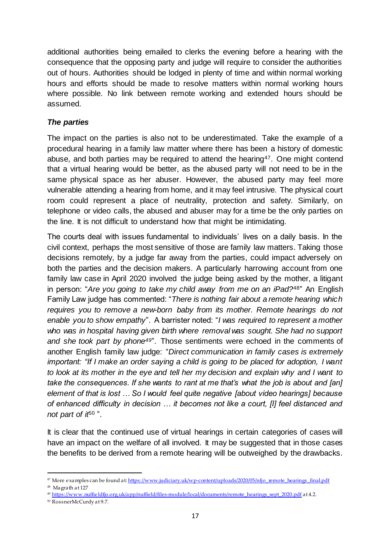additional authorities being emailed to clerks the evening before a hearing with the consequence that the opposing party and judge will require to consider the authorities out of hours. Authorities should be lodged in plenty of time and within normal working hours and efforts should be made to resolve matters within normal working hours where possible. No link between remote working and extended hours should be assumed.

## *The parties*

The impact on the parties is also not to be underestimated. Take the example of a procedural hearing in a family law matter where there has been a history of domestic abuse, and both parties may be required to attend the hearing<sup>47</sup>. One might contend that a virtual hearing would be better, as the abused party will not need to be in the same physical space as her abuser. However, the abused party may feel more vulnerable attending a hearing from home, and it may feel intrusive. The physical court room could represent a place of neutrality, protection and safety. Similarly, on telephone or video calls, the abused and abuser may for a time be the only parties on the line. It is not difficult to understand how that might be intimidating.

The courts deal with issues fundamental to individuals' lives on a daily basis. In the civil context, perhaps the most sensitive of those are family law matters. Taking those decisions remotely, by a judge far away from the parties, could impact adversely on both the parties and the decision makers. A particularly harrowing account from one family law case in April 2020 involved the judge being asked by the mother, a litigant in person: "*Are you going to take my child away from me on an iPad?*48" An English Family Law judge has commented: "*There is nothing fair about a remote hearing which requires you to remove a new-born baby from its mother. Remote hearings do not enable you to show empathy*". A barrister noted: "*I was required to represent a mother who was in hospital having given birth where removal was sought. She had no support and she took part by phone49*". Those sentiments were echoed in the comments of another English family law judge: "*Direct communication in family cases is extremely important: "If I make an order saying a child is going to be placed for adoption, I want to look at its mother in the eye and tell her my decision and explain why and I want to take the consequences. If she wants to rant at me that's what the job is about and [an] element of that is lost … So I would feel quite negative [about video hearings] because of enhanced difficulty in decision … it becomes not like a court, [I] feel distanced and*  not part of it<sup>50</sup>".

It is clear that the continued use of virtual hearings in certain categories of cases will have an impact on the welfare of all involved. It may be suggested that in those cases the benefits to be derived from a remote hearing will be outweighed by the drawbacks.

<sup>&</sup>lt;sup>47</sup> More examples can be found a[t: https://www.judiciary.uk/wp-content/uploads/2020/05/nfjo\\_remote\\_hearings\\_final.pdf](https://www.judiciary.uk/wp-content/uploads/2020/05/nfjo_remote_hearings_final.pdf)

<sup>48</sup> Magrath at 127

<sup>&</sup>lt;sup>49</sup> [https://www.nuffieldfjo.org.uk/app/nuffield/files-module/local/documents/remote\\_hearings\\_sept\\_2020.pdf](https://www.nuffieldfjo.org.uk/app/nuffield/files-module/local/documents/remote_hearings_sept_2020.pdf) at 4.2.

<sup>50</sup> RossnerMcCurdy at 9.7.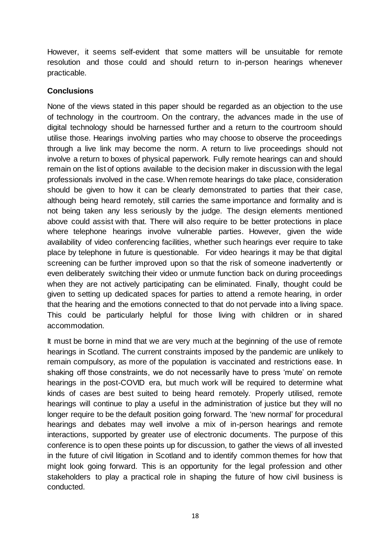However, it seems self-evident that some matters will be unsuitable for remote resolution and those could and should return to in-person hearings whenever practicable.

## **Conclusions**

None of the views stated in this paper should be regarded as an objection to the use of technology in the courtroom. On the contrary, the advances made in the use of digital technology should be harnessed further and a return to the courtroom should utilise those. Hearings involving parties who may choose to observe the proceedings through a live link may become the norm. A return to live proceedings should not involve a return to boxes of physical paperwork. Fully remote hearings can and should remain on the list of options available to the decision maker in discussion with the legal professionals involved in the case. When remote hearings do take place, consideration should be given to how it can be clearly demonstrated to parties that their case, although being heard remotely, still carries the same importance and formality and is not being taken any less seriously by the judge. The design elements mentioned above could assist with that. There will also require to be better protections in place where telephone hearings involve vulnerable parties. However, given the wide availability of video conferencing facilities, whether such hearings ever require to take place by telephone in future is questionable. For video hearings it may be that digital screening can be further improved upon so that the risk of someone inadvertently or even deliberately switching their video or unmute function back on during proceedings when they are not actively participating can be eliminated. Finally, thought could be given to setting up dedicated spaces for parties to attend a remote hearing, in order that the hearing and the emotions connected to that do not pervade into a living space. This could be particularly helpful for those living with children or in shared accommodation.

It must be borne in mind that we are very much at the beginning of the use of remote hearings in Scotland. The current constraints imposed by the pandemic are unlikely to remain compulsory, as more of the population is vaccinated and restrictions ease. In shaking off those constraints, we do not necessarily have to press 'mute' on remote hearings in the post-COVID era, but much work will be required to determine what kinds of cases are best suited to being heard remotely. Properly utilised, remote hearings will continue to play a useful in the administration of justice but they will no longer require to be the default position going forward. The 'new normal' for procedural hearings and debates may well involve a mix of in-person hearings and remote interactions, supported by greater use of electronic documents. The purpose of this conference is to open these points up for discussion, to gather the views of all invested in the future of civil litigation in Scotland and to identify common themes for how that might look going forward. This is an opportunity for the legal profession and other stakeholders to play a practical role in shaping the future of how civil business is conducted.